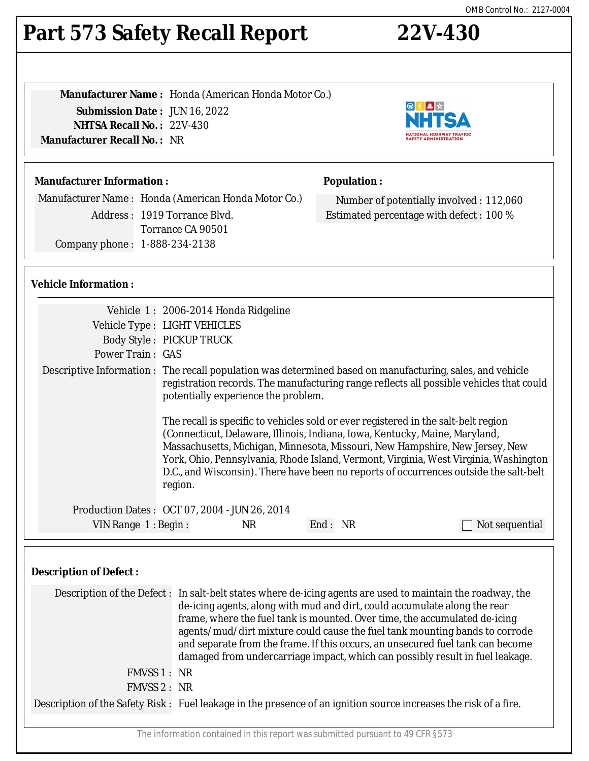# **Part 573 Safety Recall Report 22V-430**

**Manufacturer Name :** Honda (American Honda Motor Co.) **Submission Date :** JUN 16, 2022 **NHTSA Recall No. :** 22V-430 **Manufacturer Recall No. :** NR

#### **Manufacturer Information :**

Manufacturer Name : Honda (American Honda Motor Co.) Address : 1919 Torrance Blvd. Torrance CA 90501 Company phone : 1-888-234-2138

#### **Population :**

Number of potentially involved : 112,060 Estimated percentage with defect : 100 %

#### **Vehicle Information :**

|                               | Vehicle 1: 2006-2014 Honda Ridgeline                                                                                                                                                                                                                                                                                                                                                                                                                                                                                    |  |  |  |
|-------------------------------|-------------------------------------------------------------------------------------------------------------------------------------------------------------------------------------------------------------------------------------------------------------------------------------------------------------------------------------------------------------------------------------------------------------------------------------------------------------------------------------------------------------------------|--|--|--|
|                               | Vehicle Type : LIGHT VEHICLES                                                                                                                                                                                                                                                                                                                                                                                                                                                                                           |  |  |  |
|                               | <b>Body Style: PICKUP TRUCK</b>                                                                                                                                                                                                                                                                                                                                                                                                                                                                                         |  |  |  |
| <b>Power Train: GAS</b>       |                                                                                                                                                                                                                                                                                                                                                                                                                                                                                                                         |  |  |  |
|                               | Descriptive Information : The recall population was determined based on manufacturing, sales, and vehicle<br>registration records. The manufacturing range reflects all possible vehicles that could<br>potentially experience the problem.                                                                                                                                                                                                                                                                             |  |  |  |
|                               | The recall is specific to vehicles sold or ever registered in the salt-belt region<br>(Connecticut, Delaware, Illinois, Indiana, Iowa, Kentucky, Maine, Maryland,<br>Massachusetts, Michigan, Minnesota, Missouri, New Hampshire, New Jersey, New<br>York, Ohio, Pennsylvania, Rhode Island, Vermont, Virginia, West Virginia, Washington<br>D.C., and Wisconsin). There have been no reports of occurrences outside the salt-belt<br>region.                                                                           |  |  |  |
|                               | Production Dates: OCT 07, 2004 - JUN 26, 2014                                                                                                                                                                                                                                                                                                                                                                                                                                                                           |  |  |  |
| VIN Range 1: Begin:           | End: NR<br><b>NR</b><br>Not sequential                                                                                                                                                                                                                                                                                                                                                                                                                                                                                  |  |  |  |
| <b>Description of Defect:</b> |                                                                                                                                                                                                                                                                                                                                                                                                                                                                                                                         |  |  |  |
|                               | Description of the Defect: In salt-belt states where de-icing agents are used to maintain the roadway, the<br>de-icing agents, along with mud and dirt, could accumulate along the rear<br>frame, where the fuel tank is mounted. Over time, the accumulated de-icing<br>agents/mud/dirt mixture could cause the fuel tank mounting bands to corrode<br>and separate from the frame. If this occurs, an unsecured fuel tank can become<br>damaged from undercarriage impact, which can possibly result in fuel leakage. |  |  |  |
| FMVSS 1 : NR                  |                                                                                                                                                                                                                                                                                                                                                                                                                                                                                                                         |  |  |  |
| FMVSS 2: NR                   |                                                                                                                                                                                                                                                                                                                                                                                                                                                                                                                         |  |  |  |
|                               | Description of the Safety Risk: Fuel leakage in the presence of an ignition source increases the risk of a fire.                                                                                                                                                                                                                                                                                                                                                                                                        |  |  |  |
|                               | The information contained in this report was submitted pursuant to 49 CFR §573                                                                                                                                                                                                                                                                                                                                                                                                                                          |  |  |  |

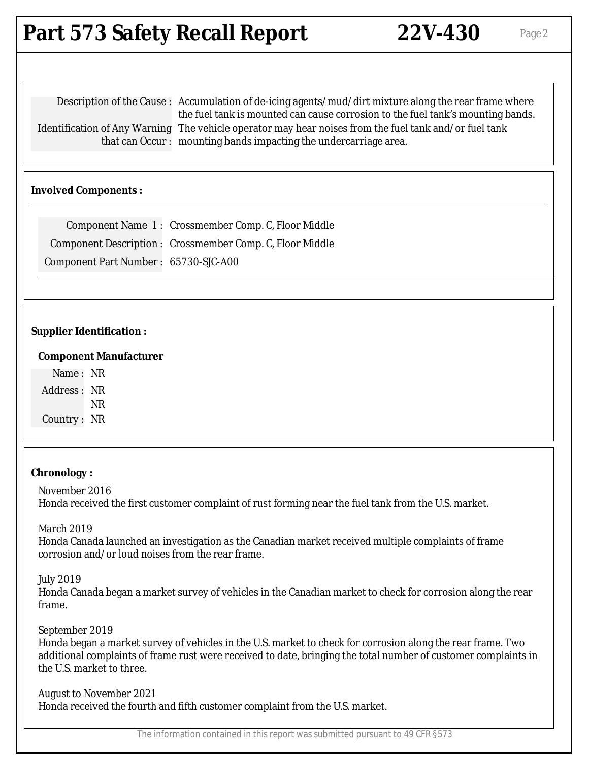## **Part 573 Safety Recall Report 22V-430** Page 2

Description of the Cause : Accumulation of de-icing agents/mud/dirt mixture along the rear frame where the fuel tank is mounted can cause corrosion to the fuel tank's mounting bands. Identification of Any Warning The vehicle operator may hear noises from the fuel tank and/or fuel tank that can Occur : mounting bands impacting the undercarriage area.

#### **Involved Components :**

|                                      | Component Name 1: Crossmember Comp. C, Floor Middle       |
|--------------------------------------|-----------------------------------------------------------|
|                                      | Component Description : Crossmember Comp. C, Floor Middle |
| Component Part Number: 65730-SJC-A00 |                                                           |

#### **Supplier Identification :**

#### **Component Manufacturer**

Name : NR Address : NR NR Country : NR

#### **Chronology :**

November 2016 Honda received the first customer complaint of rust forming near the fuel tank from the U.S. market.

March 2019

Honda Canada launched an investigation as the Canadian market received multiple complaints of frame corrosion and/or loud noises from the rear frame.

July 2019

Honda Canada began a market survey of vehicles in the Canadian market to check for corrosion along the rear frame.

September 2019

Honda began a market survey of vehicles in the U.S. market to check for corrosion along the rear frame. Two additional complaints of frame rust were received to date, bringing the total number of customer complaints in the U.S. market to three.

August to November 2021 Honda received the fourth and fifth customer complaint from the U.S. market.

The information contained in this report was submitted pursuant to 49 CFR §573